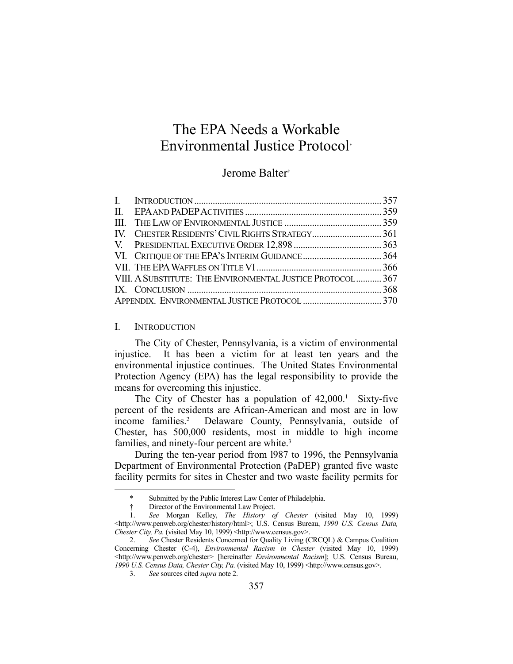# The EPA Needs a Workable Environmental Justice Protocol\*

# Jerome Balter†

| VIII. A SUBSTITUTE: THE ENVIRONMENTAL JUSTICE PROTOCOL 367 |  |
|------------------------------------------------------------|--|
|                                                            |  |
|                                                            |  |

# I. INTRODUCTION

1

 The City of Chester, Pennsylvania, is a victim of environmental injustice. It has been a victim for at least ten years and the environmental injustice continues. The United States Environmental Protection Agency (EPA) has the legal responsibility to provide the means for overcoming this injustice.

The City of Chester has a population of 42,000.<sup>1</sup> Sixty-five percent of the residents are African-American and most are in low income families.<sup>2</sup> Delaware County, Pennsylvania, outside of Chester, has 500,000 residents, most in middle to high income families, and ninety-four percent are white.<sup>3</sup>

 During the ten-year period from l987 to 1996, the Pennsylvania Department of Environmental Protection (PaDEP) granted five waste facility permits for sites in Chester and two waste facility permits for

 <sup>\*</sup> Submitted by the Public Interest Law Center of Philadelphia.

 <sup>†</sup> Director of the Environmental Law Project.

 <sup>1.</sup> *See* Morgan Kelley, *The History of Chester* (visited May 10, 1999) <http://www.penweb.org/chester/history/html>; U.S. Census Bureau, *1990 U.S. Census Data, Chester City, Pa.* (visited May 10, 1999) <http://www.census.gov>.

 <sup>2.</sup> *See* Chester Residents Concerned for Quality Living (CRCQL) & Campus Coalition Concerning Chester (C-4), *Environmental Racism in Chester* (visited May 10, 1999) <http://www.penweb.org/chester> [hereinafter *Environmental Racism*]; U.S. Census Bureau, *1990 U.S. Census Data, Chester City, Pa.* (visited May 10, 1999) <http://www.census.gov>.

 <sup>3.</sup> *See* sources cited *supra* note 2.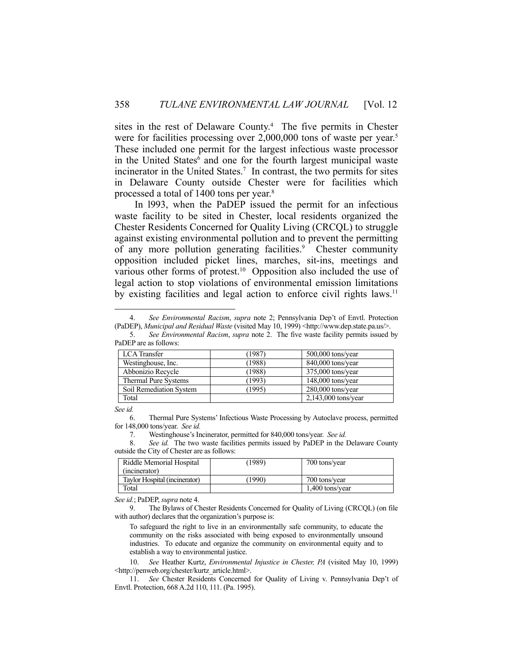sites in the rest of Delaware County.<sup>4</sup> The five permits in Chester were for facilities processing over 2,000,000 tons of waste per year.<sup>5</sup> These included one permit for the largest infectious waste processor in the United States<sup>6</sup> and one for the fourth largest municipal waste incinerator in the United States.<sup>7</sup> In contrast, the two permits for sites in Delaware County outside Chester were for facilities which processed a total of 1400 tons per year.8

 In l993, when the PaDEP issued the permit for an infectious waste facility to be sited in Chester, local residents organized the Chester Residents Concerned for Quality Living (CRCQL) to struggle against existing environmental pollution and to prevent the permitting of any more pollution generating facilities.<sup>9</sup> Chester community opposition included picket lines, marches, sit-ins, meetings and various other forms of protest.<sup>10</sup> Opposition also included the use of legal action to stop violations of environmental emission limitations by existing facilities and legal action to enforce civil rights laws.<sup>11</sup>

 <sup>5.</sup> *See Environmental Racism*, *supra* note 2. The five waste facility permits issued by PaDEP are as follows:

| <b>LCA</b> Transfer         | 1987)  | $500,000$ tons/year   |
|-----------------------------|--------|-----------------------|
| Westinghouse, Inc.          | 1988)  | 840,000 tons/year     |
| Abbonizio Recycle           | (1988) | 375,000 tons/year     |
| <b>Thermal Pure Systems</b> | (1993) | $148,000$ tons/year   |
| Soil Remediation System     | (1995) | $280,000$ tons/year   |
| Total                       |        | $2,143,000$ tons/year |

*See id.*

<u>.</u>

 6. Thermal Pure Systems' Infectious Waste Processing by Autoclave process, permitted for 148,000 tons/year. *See id.*

7. Westinghouse's Incinerator, permitted for 840,000 tons/year. *See id.*

 8. *See id.* The two waste facilities permits issued by PaDEP in the Delaware County outside the City of Chester are as follows:

| Riddle Memorial Hospital<br>(incinerator) | (1989 | 700 tons/year   |
|-------------------------------------------|-------|-----------------|
| Taylor Hospital (incinerator)             | 1990) | 700 tons/year   |
| Total                                     |       | 1.400 tons/vear |

*See id.*; PaDEP, *supra* note 4.

 9. The Bylaws of Chester Residents Concerned for Quality of Living (CRCQL) (on file with author) declares that the organization's purpose is:

To safeguard the right to live in an environmentally safe community, to educate the community on the risks associated with being exposed to environmentally unsound industries. To educate and organize the community on environmental equity and to establish a way to environmental justice.

 10. *See* Heather Kurtz, *Environmental Injustice in Chester, PA* (visited May 10, 1999) <http://penweb.org/chester/kurtz\_article.html>.

 11. *See* Chester Residents Concerned for Quality of Living v. Pennsylvania Dep't of Envtl. Protection, 668 A.2d 110, 111. (Pa. 1995).

 <sup>4.</sup> *See Environmental Racism*, *supra* note 2; Pennsylvania Dep't of Envtl. Protection (PaDEP), *Municipal and Residual Waste* (visited May 10, 1999) <http://www.dep.state.pa.us/>.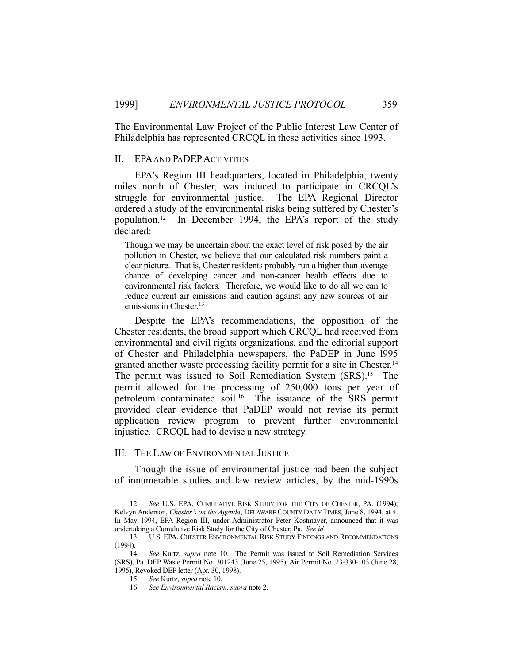The Environmental Law Project of the Public Interest Law Center of Philadelphia has represented CRCQL in these activities since 1993.

#### II. EPA AND PADEPACTIVITIES

 EPA's Region III headquarters, located in Philadelphia, twenty miles north of Chester, was induced to participate in CRCQL's struggle for environmental justice. The EPA Regional Director ordered a study of the environmental risks being suffered by Chester's population.12 In December 1994, the EPA's report of the study declared:

Though we may be uncertain about the exact level of risk posed by the air pollution in Chester, we believe that our calculated risk numbers paint a clear picture. That is, Chester residents probably run a higher-than-average chance of developing cancer and non-cancer health effects due to environmental risk factors. Therefore, we would like to do all we can to reduce current air emissions and caution against any new sources of air emissions in Chester.<sup>13</sup>

 Despite the EPA's recommendations, the opposition of the Chester residents, the broad support which CRCQL had received from environmental and civil rights organizations, and the editorial support of Chester and Philadelphia newspapers, the PaDEP in June l995 granted another waste processing facility permit for a site in Chester.<sup>14</sup> The permit was issued to Soil Remediation System (SRS).<sup>15</sup> The permit allowed for the processing of 250,000 tons per year of petroleum contaminated soil.16 The issuance of the SRS permit provided clear evidence that PaDEP would not revise its permit application review program to prevent further environmental injustice. CRCQL had to devise a new strategy.

#### III. THE LAW OF ENVIRONMENTAL JUSTICE

 Though the issue of environmental justice had been the subject of innumerable studies and law review articles, by the mid-1990s

<u>.</u>

 <sup>12.</sup> *See* U.S. EPA, CUMULATIVE RISK STUDY FOR THE CITY OF CHESTER, PA. (1994); Kelvyn Anderson, *Chester's on the Agenda*, DELAWARE COUNTY DAILY TIMES, June 8, 1994, at 4. In May 1994, EPA Region III, under Administrator Peter Kostmayer, announced that it was undertaking a Cumulative Risk Study for the City of Chester, Pa. *See id.*

 <sup>13.</sup> U.S. EPA, CHESTER ENVIRONMENTAL RISK STUDY FINDINGS AND RECOMMENDATIONS (1994).

 <sup>14.</sup> *See* Kurtz, *supra* note 10. The Permit was issued to Soil Remediation Services (SRS), Pa. DEP Waste Permit No. 301243 (June 25, 1995), Air Permit No. 23-330-103 (June 28, 1995), Revoked DEP letter (Apr. 30, 1998).

 <sup>15.</sup> *See* Kurtz, *supra* note 10.

 <sup>16.</sup> *See Environmental Racism*, *supra* note 2.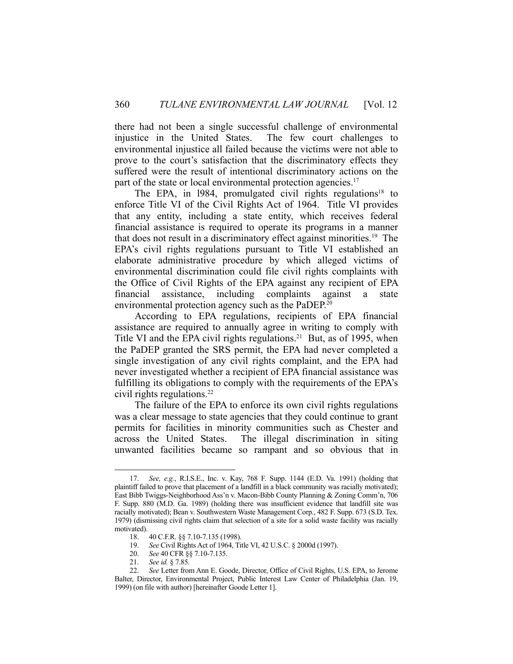there had not been a single successful challenge of environmental injustice in the United States. The few court challenges to environmental injustice all failed because the victims were not able to prove to the court's satisfaction that the discriminatory effects they suffered were the result of intentional discriminatory actions on the part of the state or local environmental protection agencies.<sup>17</sup>

The EPA, in 1984, promulgated civil rights regulations<sup>18</sup> to enforce Title VI of the Civil Rights Act of 1964. Title VI provides that any entity, including a state entity, which receives federal financial assistance is required to operate its programs in a manner that does not result in a discriminatory effect against minorities.19 The EPA's civil rights regulations pursuant to Title VI established an elaborate administrative procedure by which alleged victims of environmental discrimination could file civil rights complaints with the Office of Civil Rights of the EPA against any recipient of EPA financial assistance, including complaints against a state environmental protection agency such as the PaDEP.<sup>20</sup>

 According to EPA regulations, recipients of EPA financial assistance are required to annually agree in writing to comply with Title VI and the EPA civil rights regulations.<sup>21</sup> But, as of 1995, when the PaDEP granted the SRS permit, the EPA had never completed a single investigation of any civil rights complaint, and the EPA had never investigated whether a recipient of EPA financial assistance was fulfilling its obligations to comply with the requirements of the EPA's civil rights regulations.<sup>22</sup>

 The failure of the EPA to enforce its own civil rights regulations was a clear message to state agencies that they could continue to grant permits for facilities in minority communities such as Chester and across the United States. The illegal discrimination in siting unwanted facilities became so rampant and so obvious that in

 <sup>17.</sup> *See, e.g.*, R.I.S.E., Inc. v. Kay, 768 F. Supp. 1144 (E.D. Va. 1991) (holding that plaintiff failed to prove that placement of a landfill in a black community was racially motivated); East Bibb Twiggs-Neighborhood Ass'n v. Macon-Bibb County Planning & Zoning Comm'n, 706 F. Supp. 880 (M.D. Ga. 1989) (holding there was insufficient evidence that landfill site was racially motivated); Bean v. Southwestern Waste Management Corp., 482 F. Supp. 673 (S.D. Tex. 1979) (dismissing civil rights claim that selection of a site for a solid waste facility was racially motivated).

 <sup>18. 40</sup> C.F.R. §§ 7.10-7.135 (1998).

 <sup>19.</sup> *See* Civil Rights Act of 1964, Title VI, 42 U.S.C. § 2000d (1997).

 <sup>20.</sup> *See* 40 CFR §§ 7.10-7.135.

 <sup>21.</sup> *See id.* § 7.85.

 <sup>22.</sup> *See* Letter from Ann E. Goode, Director, Office of Civil Rights, U.S. EPA, to Jerome Balter, Director, Environmental Project, Public Interest Law Center of Philadelphia (Jan. 19, 1999) (on file with author) [hereinafter Goode Letter 1].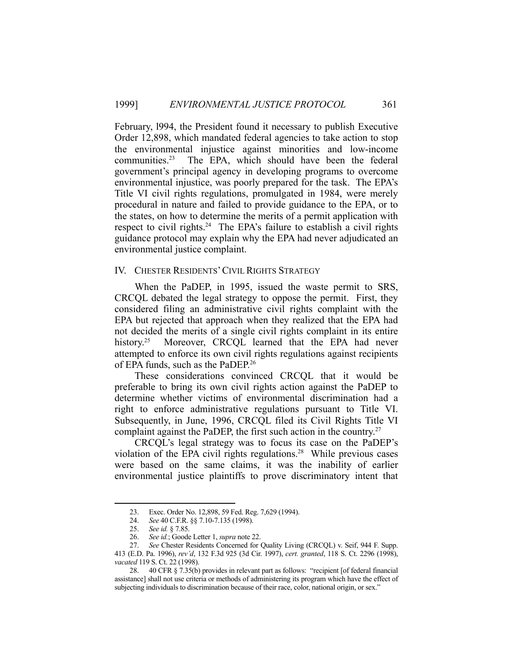February, l994, the President found it necessary to publish Executive Order 12,898, which mandated federal agencies to take action to stop the environmental injustice against minorities and low-income communities.<sup>23</sup> The EPA, which should have been the federal government's principal agency in developing programs to overcome environmental injustice, was poorly prepared for the task. The EPA's Title VI civil rights regulations, promulgated in 1984, were merely procedural in nature and failed to provide guidance to the EPA, or to the states, on how to determine the merits of a permit application with respect to civil rights.<sup>24</sup> The EPA's failure to establish a civil rights guidance protocol may explain why the EPA had never adjudicated an environmental justice complaint.

#### IV. CHESTER RESIDENTS'CIVIL RIGHTS STRATEGY

 When the PaDEP, in 1995, issued the waste permit to SRS, CRCQL debated the legal strategy to oppose the permit. First, they considered filing an administrative civil rights complaint with the EPA but rejected that approach when they realized that the EPA had not decided the merits of a single civil rights complaint in its entire history.<sup>25</sup> Moreover, CRCQL learned that the EPA had never attempted to enforce its own civil rights regulations against recipients of EPA funds, such as the PaDEP.26

 These considerations convinced CRCQL that it would be preferable to bring its own civil rights action against the PaDEP to determine whether victims of environmental discrimination had a right to enforce administrative regulations pursuant to Title VI. Subsequently, in June, 1996, CRCQL filed its Civil Rights Title VI complaint against the PaDEP, the first such action in the country.<sup>27</sup>

 CRCQL's legal strategy was to focus its case on the PaDEP's violation of the EPA civil rights regulations.<sup>28</sup> While previous cases were based on the same claims, it was the inability of earlier environmental justice plaintiffs to prove discriminatory intent that

 <sup>23.</sup> Exec. Order No. 12,898, 59 Fed. Reg. 7,629 (1994).

 <sup>24.</sup> *See* 40 C.F.R. §§ 7.10-7.135 (1998).

 <sup>25.</sup> *See id.* § 7.85.

 <sup>26.</sup> *See id.*; Goode Letter 1, *supra* note 22.

 <sup>27.</sup> *See* Chester Residents Concerned for Quality Living (CRCQL) v. Seif, 944 F. Supp. 413 (E.D. Pa. 1996), *rev'd*, 132 F.3d 925 (3d Cir. 1997), *cert. granted*, 118 S. Ct. 2296 (1998), *vacated* 119 S. Ct. 22 (1998).

 <sup>28. 40</sup> CFR § 7.35(b) provides in relevant part as follows: "recipient [of federal financial assistance] shall not use criteria or methods of administering its program which have the effect of subjecting individuals to discrimination because of their race, color, national origin, or sex."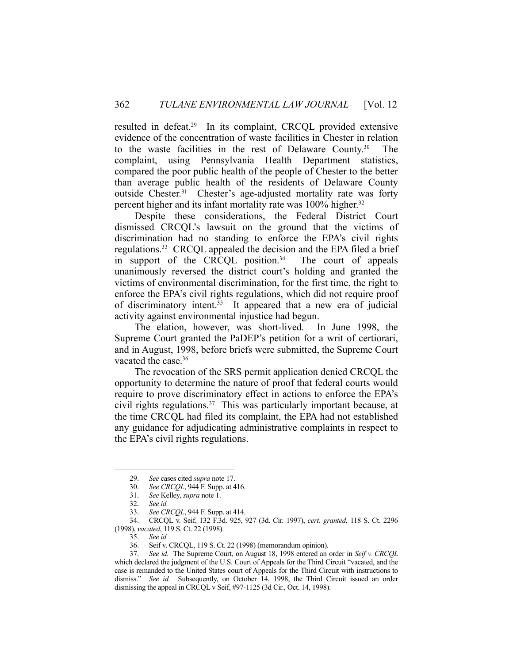resulted in defeat.<sup>29</sup> In its complaint, CRCQL provided extensive evidence of the concentration of waste facilities in Chester in relation to the waste facilities in the rest of Delaware County.30 The complaint, using Pennsylvania Health Department statistics, compared the poor public health of the people of Chester to the better than average public health of the residents of Delaware County outside Chester.<sup>31</sup> Chester's age-adjusted mortality rate was forty percent higher and its infant mortality rate was 100% higher.<sup>32</sup>

 Despite these considerations, the Federal District Court dismissed CRCQL's lawsuit on the ground that the victims of discrimination had no standing to enforce the EPA's civil rights regulations.33 CRCQL appealed the decision and the EPA filed a brief in support of the CRCQL position. $34$  The court of appeals unanimously reversed the district court's holding and granted the victims of environmental discrimination, for the first time, the right to enforce the EPA's civil rights regulations, which did not require proof of discriminatory intent.<sup>35</sup> It appeared that a new era of judicial activity against environmental injustice had begun.

 The elation, however, was short-lived. In June 1998, the Supreme Court granted the PaDEP's petition for a writ of certiorari, and in August, 1998, before briefs were submitted, the Supreme Court vacated the case.<sup>36</sup>

 The revocation of the SRS permit application denied CRCQL the opportunity to determine the nature of proof that federal courts would require to prove discriminatory effect in actions to enforce the EPA's civil rights regulations.<sup>37</sup> This was particularly important because, at the time CRCQL had filed its complaint, the EPA had not established any guidance for adjudicating administrative complaints in respect to the EPA's civil rights regulations.

1

 34. CRCQL v. Seif, 132 F.3d. 925, 927 (3d. Cir. 1997), *cert. granted*, 118 S. Ct. 2296 (1998), *vacated*, 119 S. Ct. 22 (1998).

 <sup>29.</sup> *See* cases cited *supra* note 17.

 <sup>30.</sup> *See CRCQL*, 944 F. Supp. at 416.

 <sup>31.</sup> *See* Kelley, *supra* note 1.

 <sup>32.</sup> *See id.*

 <sup>33.</sup> *See CRCQL*, 944 F. Supp. at 414.

 <sup>35.</sup> *See id.*

 <sup>36.</sup> Seif v. CRCQL, 119 S. Ct. 22 (1998) (memorandum opinion).

 <sup>37.</sup> *See id.* The Supreme Court, on August 18, 1998 entered an order in *Seif v. CRCQL*  which declared the judgment of the U.S. Court of Appeals for the Third Circuit "vacated, and the case is remanded to the United States court of Appeals for the Third Circuit with instructions to dismiss." *See id.* Subsequently, on October 14, 1998, the Third Circuit issued an order dismissing the appeal in CRCQL v Seif, #97-1125 (3d Cir., Oct. 14, 1998).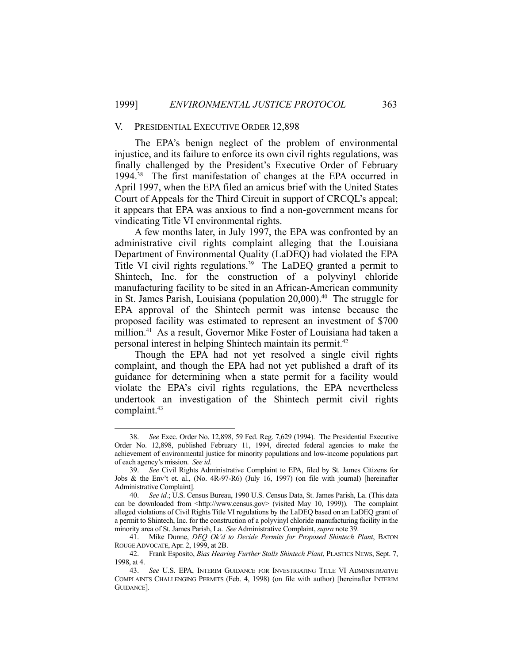#### V. PRESIDENTIAL EXECUTIVE ORDER 12,898

 The EPA's benign neglect of the problem of environmental injustice, and its failure to enforce its own civil rights regulations, was finally challenged by the President's Executive Order of February 1994.38 The first manifestation of changes at the EPA occurred in April 1997, when the EPA filed an amicus brief with the United States Court of Appeals for the Third Circuit in support of CRCQL's appeal; it appears that EPA was anxious to find a non-government means for vindicating Title VI environmental rights.

 A few months later, in July 1997, the EPA was confronted by an administrative civil rights complaint alleging that the Louisiana Department of Environmental Quality (LaDEQ) had violated the EPA Title VI civil rights regulations.<sup>39</sup> The LaDEQ granted a permit to Shintech, Inc. for the construction of a polyvinyl chloride manufacturing facility to be sited in an African-American community in St. James Parish, Louisiana (population  $20,000$ ).<sup>40</sup> The struggle for EPA approval of the Shintech permit was intense because the proposed facility was estimated to represent an investment of \$700 million.41 As a result, Governor Mike Foster of Louisiana had taken a personal interest in helping Shintech maintain its permit.42

 Though the EPA had not yet resolved a single civil rights complaint, and though the EPA had not yet published a draft of its guidance for determining when a state permit for a facility would violate the EPA's civil rights regulations, the EPA nevertheless undertook an investigation of the Shintech permit civil rights complaint.<sup>43</sup>

 <sup>38.</sup> *See* Exec. Order No. 12,898, 59 Fed. Reg. 7,629 (1994). The Presidential Executive Order No. 12,898, published February 11, 1994, directed federal agencies to make the achievement of environmental justice for minority populations and low-income populations part of each agency's mission. *See id.*

 <sup>39.</sup> *See* Civil Rights Administrative Complaint to EPA, filed by St. James Citizens for Jobs & the Env't et. al., (No. 4R-97-R6) (July 16, 1997) (on file with journal) [hereinafter Administrative Complaint].

 <sup>40.</sup> *See id.*; U.S. Census Bureau, 1990 U.S. Census Data, St. James Parish, La. (This data can be downloaded from  $\langle \text{http://www.census.gov>}(visited May 10, 1999) \rangle$ . The complaint alleged violations of Civil Rights Title VI regulations by the LaDEQ based on an LaDEQ grant of a permit to Shintech, Inc. for the construction of a polyvinyl chloride manufacturing facility in the minority area of St. James Parish, La. *See* Administrative Complaint, *supra* note 39.

 <sup>41.</sup> Mike Dunne, *DEQ Ok'd to Decide Permits for Proposed Shintech Plant*, BATON ROUGE ADVOCATE, Apr. 2, 1999, at 2B.

 <sup>42.</sup> Frank Esposito, *Bias Hearing Further Stalls Shintech Plant*, PLASTICS NEWS, Sept. 7, 1998, at 4.

 <sup>43.</sup> *See* U.S. EPA, INTERIM GUIDANCE FOR INVESTIGATING TITLE VI ADMINISTRATIVE COMPLAINTS CHALLENGING PERMITS (Feb. 4, 1998) (on file with author) [hereinafter INTERIM GUIDANCE].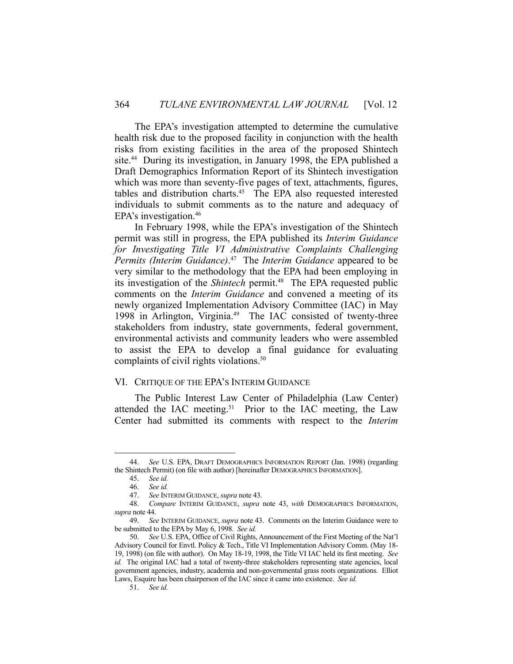The EPA's investigation attempted to determine the cumulative health risk due to the proposed facility in conjunction with the health risks from existing facilities in the area of the proposed Shintech site.<sup>44</sup> During its investigation, in January 1998, the EPA published a Draft Demographics Information Report of its Shintech investigation which was more than seventy-five pages of text, attachments, figures, tables and distribution charts.45 The EPA also requested interested individuals to submit comments as to the nature and adequacy of EPA's investigation.46

 In February 1998, while the EPA's investigation of the Shintech permit was still in progress, the EPA published its *Interim Guidance for Investigating Title VI Administrative Complaints Challenging Permits (Interim Guidance)*. 47 The *Interim Guidance* appeared to be very similar to the methodology that the EPA had been employing in its investigation of the *Shintech* permit.<sup>48</sup> The EPA requested public comments on the *Interim Guidance* and convened a meeting of its newly organized Implementation Advisory Committee (IAC) in May 1998 in Arlington, Virginia.49 The IAC consisted of twenty-three stakeholders from industry, state governments, federal government, environmental activists and community leaders who were assembled to assist the EPA to develop a final guidance for evaluating complaints of civil rights violations.<sup>50</sup>

#### VI. CRITIQUE OF THE EPA'S INTERIM GUIDANCE

 The Public Interest Law Center of Philadelphia (Law Center) attended the IAC meeting.<sup>51</sup> Prior to the IAC meeting, the Law Center had submitted its comments with respect to the *Interim* 

 <sup>44.</sup> *See* U.S. EPA, DRAFT DEMOGRAPHICS INFORMATION REPORT (Jan. 1998) (regarding the Shintech Permit) (on file with author) [hereinafter DEMOGRAPHICS INFORMATION].

 <sup>45.</sup> *See id.*

 <sup>46.</sup> *See id.*

 <sup>47.</sup> *See* INTERIM GUIDANCE, *supra* note 43.

 <sup>48.</sup> *Compare* INTERIM GUIDANCE, *supra* note 43, *with* DEMOGRAPHICS INFORMATION, *supra* note 44.

 <sup>49.</sup> *See* INTERIM GUIDANCE, *supra* note 43. Comments on the Interim Guidance were to be submitted to the EPA by May 6, 1998. *See id.*

 <sup>50.</sup> *See* U.S. EPA, Office of Civil Rights, Announcement of the First Meeting of the Nat'l Advisory Council for Envtl. Policy & Tech., Title VI Implementation Advisory Comm. (May 18- 19, 1998) (on file with author). On May 18-19, 1998, the Title VI IAC held its first meeting. *See id.* The original IAC had a total of twenty-three stakeholders representing state agencies, local government agencies, industry, academia and non-governmental grass roots organizations. Elliot Laws, Esquire has been chairperson of the IAC since it came into existence. *See id.*

 <sup>51.</sup> *See id.*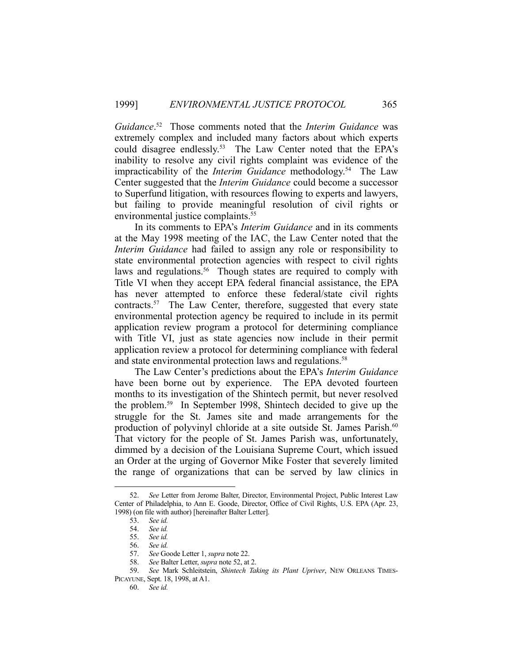*Guidance*. 52 Those comments noted that the *Interim Guidance* was extremely complex and included many factors about which experts could disagree endlessly.53 The Law Center noted that the EPA's inability to resolve any civil rights complaint was evidence of the impracticability of the *Interim Guidance* methodology.54 The Law Center suggested that the *Interim Guidance* could become a successor to Superfund litigation, with resources flowing to experts and lawyers, but failing to provide meaningful resolution of civil rights or environmental justice complaints.<sup>55</sup>

 In its comments to EPA's *Interim Guidance* and in its comments at the May 1998 meeting of the IAC, the Law Center noted that the *Interim Guidance* had failed to assign any role or responsibility to state environmental protection agencies with respect to civil rights laws and regulations.<sup>56</sup> Though states are required to comply with Title VI when they accept EPA federal financial assistance, the EPA has never attempted to enforce these federal/state civil rights contracts.57 The Law Center, therefore, suggested that every state environmental protection agency be required to include in its permit application review program a protocol for determining compliance with Title VI, just as state agencies now include in their permit application review a protocol for determining compliance with federal and state environmental protection laws and regulations.<sup>58</sup>

 The Law Center's predictions about the EPA's *Interim Guidance* have been borne out by experience. The EPA devoted fourteen months to its investigation of the Shintech permit, but never resolved the problem.59 In September l998, Shintech decided to give up the struggle for the St. James site and made arrangements for the production of polyvinyl chloride at a site outside St. James Parish.<sup>60</sup> That victory for the people of St. James Parish was, unfortunately, dimmed by a decision of the Louisiana Supreme Court, which issued an Order at the urging of Governor Mike Foster that severely limited the range of organizations that can be served by law clinics in

 <sup>52.</sup> *See* Letter from Jerome Balter, Director, Environmental Project, Public Interest Law Center of Philadelphia, to Ann E. Goode, Director, Office of Civil Rights, U.S. EPA (Apr. 23, 1998) (on file with author) [hereinafter Balter Letter].

 <sup>53.</sup> *See id.*

 <sup>54.</sup> *See id.*

 <sup>55.</sup> *See id.*

 <sup>56.</sup> *See id.*

 <sup>57.</sup> *See* Goode Letter 1, *supra* note 22.

 <sup>58.</sup> *See* Balter Letter, *supra* note 52, at 2.

 <sup>59.</sup> *See* Mark Schleitstein, *Shintech Taking its Plant Upriver*, NEW ORLEANS TIMES-PICAYUNE, Sept. 18, 1998, at A1.

 <sup>60.</sup> *See id.*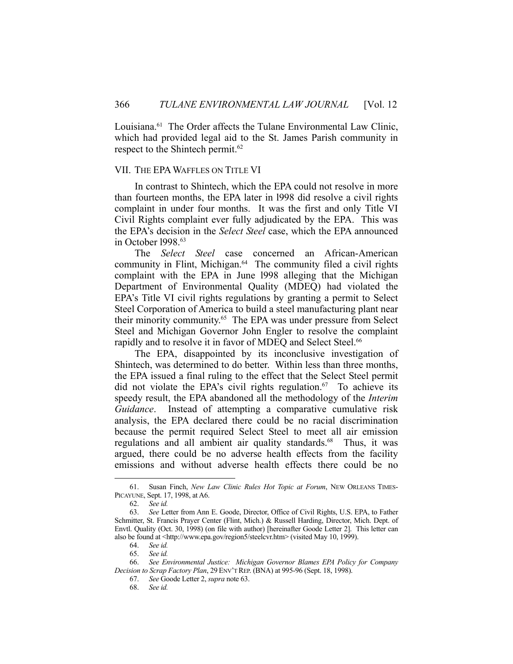Louisiana.<sup>61</sup> The Order affects the Tulane Environmental Law Clinic, which had provided legal aid to the St. James Parish community in respect to the Shintech permit.<sup>62</sup>

## VII. THE EPAWAFFLES ON TITLE VI

 In contrast to Shintech, which the EPA could not resolve in more than fourteen months, the EPA later in l998 did resolve a civil rights complaint in under four months. It was the first and only Title VI Civil Rights complaint ever fully adjudicated by the EPA. This was the EPA's decision in the *Select Steel* case, which the EPA announced in October 1998.<sup>63</sup>

 The *Select Steel* case concerned an African-American community in Flint, Michigan.<sup>64</sup> The community filed a civil rights complaint with the EPA in June l998 alleging that the Michigan Department of Environmental Quality (MDEQ) had violated the EPA's Title VI civil rights regulations by granting a permit to Select Steel Corporation of America to build a steel manufacturing plant near their minority community.65 The EPA was under pressure from Select Steel and Michigan Governor John Engler to resolve the complaint rapidly and to resolve it in favor of MDEO and Select Steel.<sup>66</sup>

 The EPA, disappointed by its inconclusive investigation of Shintech, was determined to do better. Within less than three months, the EPA issued a final ruling to the effect that the Select Steel permit did not violate the EPA's civil rights regulation.<sup>67</sup> To achieve its speedy result, the EPA abandoned all the methodology of the *Interim Guidance*. Instead of attempting a comparative cumulative risk analysis, the EPA declared there could be no racial discrimination because the permit required Select Steel to meet all air emission regulations and all ambient air quality standards.<sup>68</sup> Thus, it was argued, there could be no adverse health effects from the facility emissions and without adverse health effects there could be no

<u>.</u>

 <sup>61.</sup> Susan Finch, *New Law Clinic Rules Hot Topic at Forum*, NEW ORLEANS TIMES-PICAYUNE, Sept. 17, 1998, at A6.

 <sup>62.</sup> *See id.*

 <sup>63.</sup> *See* Letter from Ann E. Goode, Director, Office of Civil Rights, U.S. EPA, to Father Schmitter, St. Francis Prayer Center (Flint, Mich.) & Russell Harding, Director, Mich. Dept. of Envtl. Quality (Oct. 30, 1998) (on file with author) [hereinafter Goode Letter 2]. This letter can also be found at <http://www.epa.gov/region5/steelcvr.htm> (visited May 10, 1999).

 <sup>64.</sup> *See id.*

 <sup>65.</sup> *See id.*

 <sup>66.</sup> *See Environmental Justice: Michigan Governor Blames EPA Policy for Company Decision to Scrap Factory Plan*, 29 ENV'T REP. (BNA) at 995-96 (Sept. 18, 1998).

 <sup>67.</sup> *See* Goode Letter 2, *supra* note 63.

 <sup>68.</sup> *See id.*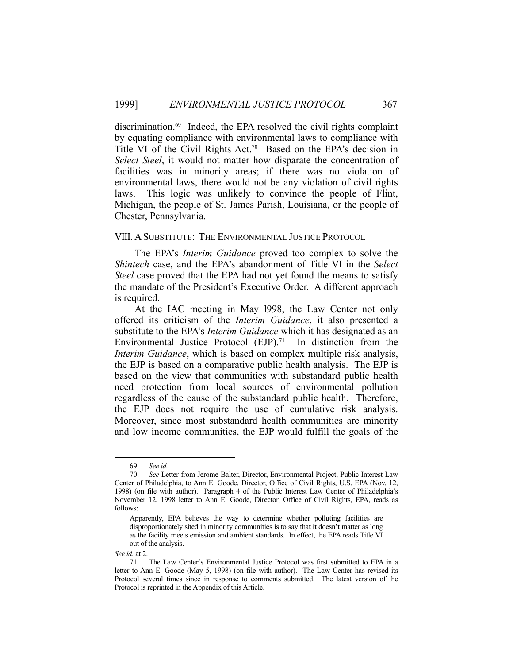discrimination.<sup>69</sup> Indeed, the EPA resolved the civil rights complaint by equating compliance with environmental laws to compliance with Title VI of the Civil Rights Act.<sup>70</sup> Based on the EPA's decision in *Select Steel*, it would not matter how disparate the concentration of facilities was in minority areas; if there was no violation of environmental laws, there would not be any violation of civil rights laws. This logic was unlikely to convince the people of Flint, Michigan, the people of St. James Parish, Louisiana, or the people of Chester, Pennsylvania.

#### VIII. A SUBSTITUTE: THE ENVIRONMENTAL JUSTICE PROTOCOL

 The EPA's *Interim Guidance* proved too complex to solve the *Shintech* case, and the EPA's abandonment of Title VI in the *Select Steel* case proved that the EPA had not yet found the means to satisfy the mandate of the President's Executive Order. A different approach is required.

 At the IAC meeting in May l998, the Law Center not only offered its criticism of the *Interim Guidance*, it also presented a substitute to the EPA's *Interim Guidance* which it has designated as an Environmental Justice Protocol  $(EJP)$ .<sup>71</sup> In distinction from the *Interim Guidance*, which is based on complex multiple risk analysis, the EJP is based on a comparative public health analysis. The EJP is based on the view that communities with substandard public health need protection from local sources of environmental pollution regardless of the cause of the substandard public health. Therefore, the EJP does not require the use of cumulative risk analysis. Moreover, since most substandard health communities are minority and low income communities, the EJP would fulfill the goals of the

<u>.</u>

 <sup>69.</sup> *See id.*

 <sup>70.</sup> *See* Letter from Jerome Balter, Director, Environmental Project, Public Interest Law Center of Philadelphia, to Ann E. Goode, Director, Office of Civil Rights, U.S. EPA (Nov. 12, 1998) (on file with author). Paragraph 4 of the Public Interest Law Center of Philadelphia's November 12, 1998 letter to Ann E. Goode, Director, Office of Civil Rights, EPA, reads as follows:

Apparently, EPA believes the way to determine whether polluting facilities are disproportionately sited in minority communities is to say that it doesn't matter as long as the facility meets emission and ambient standards. In effect, the EPA reads Title VI out of the analysis.

*See id.* at 2.

 <sup>71.</sup> The Law Center's Environmental Justice Protocol was first submitted to EPA in a letter to Ann E. Goode (May 5, 1998) (on file with author). The Law Center has revised its Protocol several times since in response to comments submitted. The latest version of the Protocol is reprinted in the Appendix of this Article.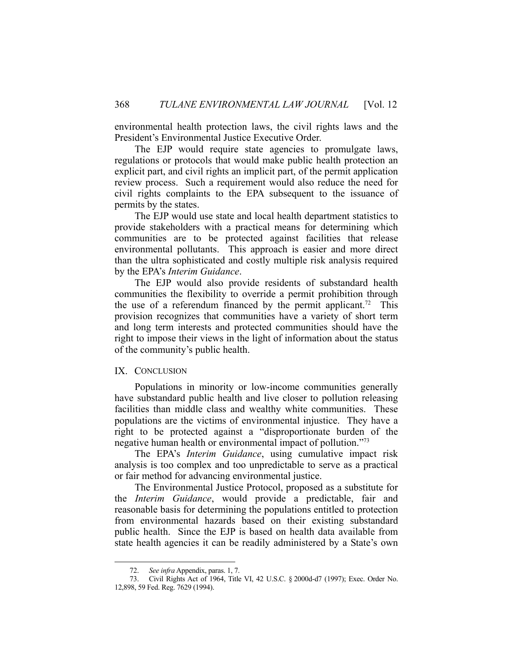environmental health protection laws, the civil rights laws and the President's Environmental Justice Executive Order.

 The EJP would require state agencies to promulgate laws, regulations or protocols that would make public health protection an explicit part, and civil rights an implicit part, of the permit application review process. Such a requirement would also reduce the need for civil rights complaints to the EPA subsequent to the issuance of permits by the states.

 The EJP would use state and local health department statistics to provide stakeholders with a practical means for determining which communities are to be protected against facilities that release environmental pollutants. This approach is easier and more direct than the ultra sophisticated and costly multiple risk analysis required by the EPA's *Interim Guidance*.

 The EJP would also provide residents of substandard health communities the flexibility to override a permit prohibition through the use of a referendum financed by the permit applicant.<sup>72</sup> This provision recognizes that communities have a variety of short term and long term interests and protected communities should have the right to impose their views in the light of information about the status of the community's public health.

#### IX. CONCLUSION

 Populations in minority or low-income communities generally have substandard public health and live closer to pollution releasing facilities than middle class and wealthy white communities. These populations are the victims of environmental injustice. They have a right to be protected against a "disproportionate burden of the negative human health or environmental impact of pollution."73

 The EPA's *Interim Guidance*, using cumulative impact risk analysis is too complex and too unpredictable to serve as a practical or fair method for advancing environmental justice.

 The Environmental Justice Protocol, proposed as a substitute for the *Interim Guidance*, would provide a predictable, fair and reasonable basis for determining the populations entitled to protection from environmental hazards based on their existing substandard public health. Since the EJP is based on health data available from state health agencies it can be readily administered by a State's own

 <sup>72.</sup> *See infra* Appendix, paras. 1, 7.

 <sup>73.</sup> Civil Rights Act of 1964, Title VI, 42 U.S.C. § 2000d-d7 (1997); Exec. Order No. 12,898, 59 Fed. Reg. 7629 (1994).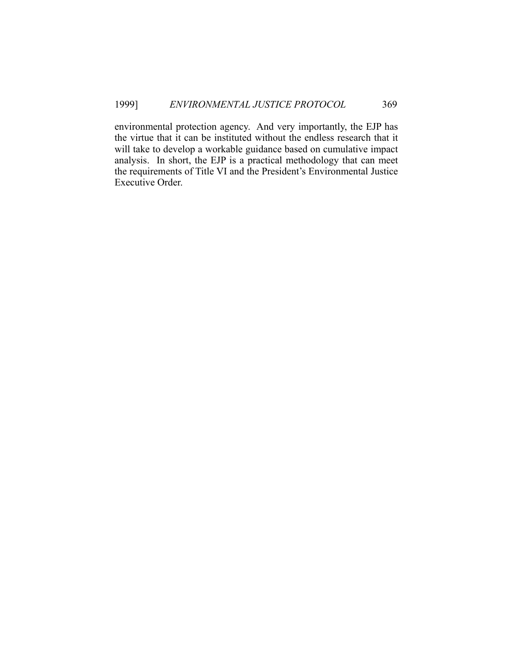environmental protection agency. And very importantly, the EJP has the virtue that it can be instituted without the endless research that it will take to develop a workable guidance based on cumulative impact analysis. In short, the EJP is a practical methodology that can meet the requirements of Title VI and the President's Environmental Justice Executive Order.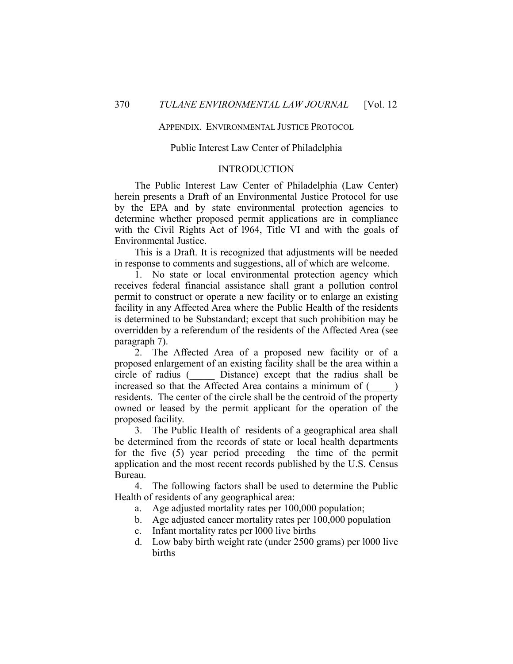#### APPENDIX. ENVIRONMENTAL JUSTICE PROTOCOL

## Public Interest Law Center of Philadelphia

## INTRODUCTION

 The Public Interest Law Center of Philadelphia (Law Center) herein presents a Draft of an Environmental Justice Protocol for use by the EPA and by state environmental protection agencies to determine whether proposed permit applications are in compliance with the Civil Rights Act of l964, Title VI and with the goals of Environmental Justice.

 This is a Draft. It is recognized that adjustments will be needed in response to comments and suggestions, all of which are welcome.

 1. No state or local environmental protection agency which receives federal financial assistance shall grant a pollution control permit to construct or operate a new facility or to enlarge an existing facility in any Affected Area where the Public Health of the residents is determined to be Substandard; except that such prohibition may be overridden by a referendum of the residents of the Affected Area (see paragraph 7).

 2. The Affected Area of a proposed new facility or of a proposed enlargement of an existing facility shall be the area within a circle of radius (\_\_\_\_\_ Distance) except that the radius shall be increased so that the Affected Area contains a minimum of  $($ residents. The center of the circle shall be the centroid of the property owned or leased by the permit applicant for the operation of the proposed facility.

 3. The Public Health of residents of a geographical area shall be determined from the records of state or local health departments for the five (5) year period preceding the time of the permit application and the most recent records published by the U.S. Census Bureau.

 4. The following factors shall be used to determine the Public Health of residents of any geographical area:

- a. Age adjusted mortality rates per 100,000 population;
- b. Age adjusted cancer mortality rates per 100,000 population
- c. Infant mortality rates per l000 live births
- d. Low baby birth weight rate (under 2500 grams) per l000 live births